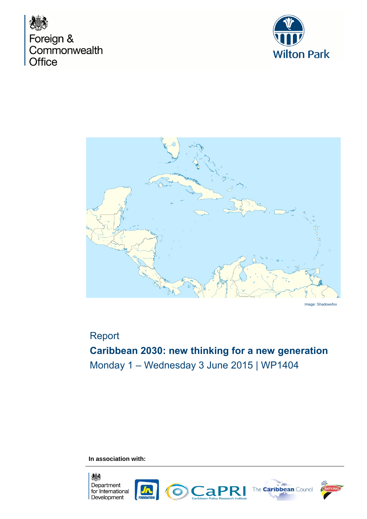





Image: Shadowxfox

# Report

# **Caribbean 2030: new thinking for a new generation** Monday 1 – Wednesday 3 June 2015 | WP1404

**In association with:**

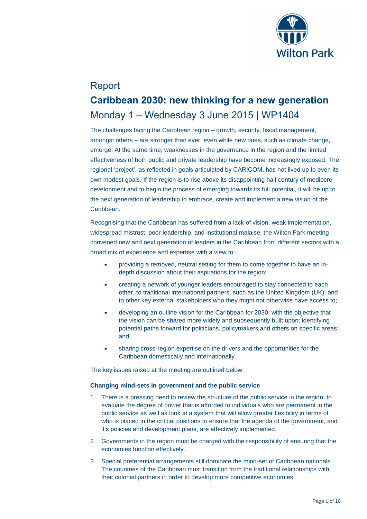

# Report **Caribbean 2030: new thinking for a new generation** Monday 1 – Wednesday 3 June 2015 | WP1404

The challenges facing the Caribbean region – growth, security, fiscal management, amongst others – are stronger than ever, even while new ones, such as climate change, emerge. At the same time, weaknesses in the governance in the region and the limited effectiveness of both public and private leadership have become increasingly exposed. The regional 'project', as reflected in goals articulated by CARICOM, has not lived up to even its own modest goals. If the region is to rise above its disappointing half century of mediocre development and to begin the process of emerging towards its full potential, it will be up to the next generation of leadership to embrace, create and implement a new vision of the Caribbean.

Recognising that the Caribbean has suffered from a lack of vision, weak implementation, widespread mistrust, poor leadership, and institutional malaise, the Wilton Park meeting convened new and next generation of leaders in the Caribbean from different sectors with a broad mix of experience and expertise with a view to:

- providing a removed, neutral setting for them to come together to have an indepth discussion about their aspirations for the region;
- creating a network of younger leaders encouraged to stay connected to each other, to traditional international partners, such as the United Kingdom (UK), and to other key external stakeholders who they might not otherwise have access to;
- developing an outline vision for the Caribbean for 2030, with the objective that the vision can be shared more widely and subsequently built upon; identifying potential paths forward for politicians, policymakers and others on specific areas; and
- sharing cross-region expertise on the drivers and the opportunities for the Caribbean domestically and internationally.

The key issues raised at the meeting are outlined below.

# **Changing mind-sets in government and the public service**

- 1. There is a pressing need to review the structure of the public service in the region, to evaluate the degree of power that is afforded to individuals who are permanent in the public service as well as look at a system that will allow greater flexibility in terms of who is placed in the critical positions to ensure that the agenda of the government, and it's policies and development plans, are effectively implemented.
- 2. Governments in the region must be charged with the responsibility of ensuring that the economies function effectively.
- 3. Special preferential arrangements still dominate the mind-set of Caribbean nationals. The countries of the Caribbean must transition from the traditional relationships with their colonial partners in order to develop more competitive economies.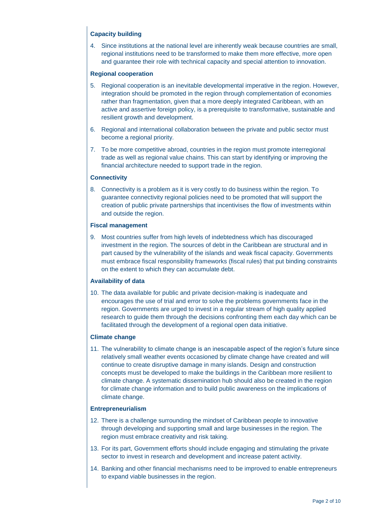# **Capacity building**

4. Since institutions at the national level are inherently weak because countries are small, regional institutions need to be transformed to make them more effective, more open and guarantee their role with technical capacity and special attention to innovation.

# **Regional cooperation**

- 5. Regional cooperation is an inevitable developmental imperative in the region. However, integration should be promoted in the region through complementation of economies rather than fragmentation, given that a more deeply integrated Caribbean, with an active and assertive foreign policy, is a prerequisite to transformative, sustainable and resilient growth and development.
- 6. Regional and international collaboration between the private and public sector must become a regional priority.
- 7. To be more competitive abroad, countries in the region must promote interregional trade as well as regional value chains. This can start by identifying or improving the financial architecture needed to support trade in the region.

# **Connectivity**

8. Connectivity is a problem as it is very costly to do business within the region. To guarantee connectivity regional policies need to be promoted that will support the creation of public private partnerships that incentivises the flow of investments within and outside the region.

# **Fiscal management**

9. Most countries suffer from high levels of indebtedness which has discouraged investment in the region. The sources of debt in the Caribbean are structural and in part caused by the vulnerability of the islands and weak fiscal capacity. Governments must embrace fiscal responsibility frameworks (fiscal rules) that put binding constraints on the extent to which they can accumulate debt.

# **Availability of data**

10. The data available for public and private decision-making is inadequate and encourages the use of trial and error to solve the problems governments face in the region. Governments are urged to invest in a regular stream of high quality applied research to guide them through the decisions confronting them each day which can be facilitated through the development of a regional open data initiative.

# **Climate change**

11. The vulnerability to climate change is an inescapable aspect of the region's future since relatively small weather events occasioned by climate change have created and will continue to create disruptive damage in many islands. Design and construction concepts must be developed to make the buildings in the Caribbean more resilient to climate change. A systematic dissemination hub should also be created in the region for climate change information and to build public awareness on the implications of climate change.

# **Entrepreneurialism**

- 12. There is a challenge surrounding the mindset of Caribbean people to innovative through developing and supporting small and large businesses in the region. The region must embrace creativity and risk taking.
- 13. For its part, Government efforts should include engaging and stimulating the private sector to invest in research and development and increase patent activity.
- 14. Banking and other financial mechanisms need to be improved to enable entrepreneurs to expand viable businesses in the region.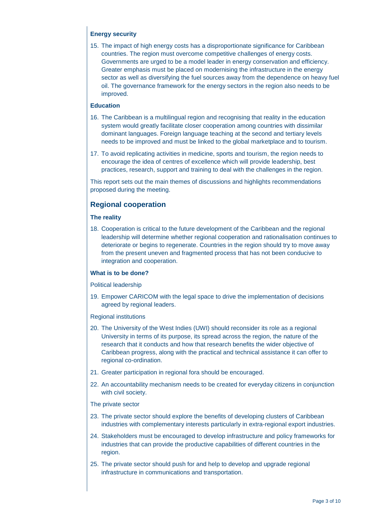# **Energy security**

15. The impact of high energy costs has a disproportionate significance for Caribbean countries. The region must overcome competitive challenges of energy costs. Governments are urged to be a model leader in energy conservation and efficiency. Greater emphasis must be placed on modernising the infrastructure in the energy sector as well as diversifying the fuel sources away from the dependence on heavy fuel oil. The governance framework for the energy sectors in the region also needs to be improved.

# **Education**

- 16. The Caribbean is a multilingual region and recognising that reality in the education system would greatly facilitate closer cooperation among countries with dissimilar dominant languages. Foreign language teaching at the second and tertiary levels needs to be improved and must be linked to the global marketplace and to tourism.
- 17. To avoid replicating activities in medicine, sports and tourism, the region needs to encourage the idea of centres of excellence which will provide leadership, best practices, research, support and training to deal with the challenges in the region.

This report sets out the main themes of discussions and highlights recommendations proposed during the meeting.

# **Regional cooperation**

# **The reality**

18. Cooperation is critical to the future development of the Caribbean and the regional leadership will determine whether regional cooperation and rationalisation continues to deteriorate or begins to regenerate. Countries in the region should try to move away from the present uneven and fragmented process that has not been conducive to integration and cooperation.

# **What is to be done?**

Political leadership

19. Empower CARICOM with the legal space to drive the implementation of decisions agreed by regional leaders.

# Regional institutions

- 20. The University of the West Indies (UWI) should reconsider its role as a regional University in terms of its purpose, its spread across the region, the nature of the research that it conducts and how that research benefits the wider objective of Caribbean progress, along with the practical and technical assistance it can offer to regional co-ordination.
- 21. Greater participation in regional fora should be encouraged.
- 22. An accountability mechanism needs to be created for everyday citizens in conjunction with civil society.

# The private sector

- 23. The private sector should explore the benefits of developing clusters of Caribbean industries with complementary interests particularly in extra-regional export industries.
- 24. Stakeholders must be encouraged to develop infrastructure and policy frameworks for industries that can provide the productive capabilities of different countries in the region.
- 25. The private sector should push for and help to develop and upgrade regional infrastructure in communications and transportation.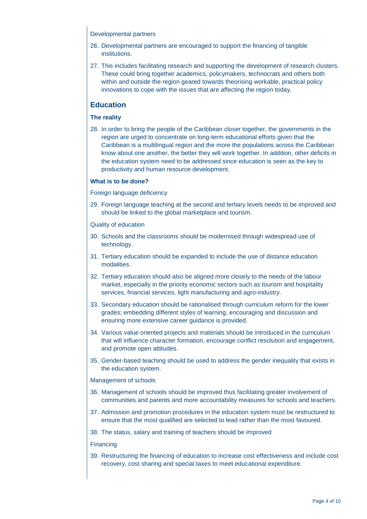### Developmental partners

- 26. Developmental partners are encouraged to support the financing of tangible institutions.
- 27. This includes facilitating research and supporting the development of research clusters. These could bring together academics, policymakers, technocrats and others both within and outside the region geared towards theorising workable, practical policy innovations to cope with the issues that are affecting the region today.

# **Education**

# **The reality**

28. In order to bring the people of the Caribbean closer together, the governments in the region are urged to concentrate on long-term educational efforts given that the Caribbean is a multilingual region and the more the populations across the Caribbean know about one another, the better they will work together. In addition, other deficits in the education system need to be addressed since education is seen as the key to productivity and human resource development.

# **What is to be done?**

Foreign language deficiency

29. Foreign language teaching at the second and tertiary levels needs to be improved and should be linked to the global marketplace and tourism.

Quality of education

- 30. Schools and the classrooms should be modernised through widespread use of technology.
- 31. Tertiary education should be expanded to include the use of distance education modalities.
- 32. Tertiary education should also be aligned more closely to the needs of the labour market, especially in the priority economic sectors such as tourism and hospitality services, financial services, light manufacturing and agro-industry.
- 33. Secondary education should be rationalised through curriculum reform for the lower grades; embedding different styles of learning, encouraging and discussion and ensuring more extensive career guidance is provided.
- 34. Various value oriented projects and materials should be introduced in the curriculum that will influence character formation, encourage conflict resolution and engagement, and promote open attitudes.
- 35. Gender-based teaching should be used to address the gender inequality that exists in the education system.

# Management of schools

- 36. Management of schools should be improved thus facilitating greater involvement of communities and parents and more accountability measures for schools and teachers.
- 37. Admission and promotion procedures in the education system must be restructured to ensure that the most qualified are selected to lead rather than the most favoured.
- 38. The status, salary and training of teachers should be improved

#### **Financing**

39. Restructuring the financing of education to increase cost effectiveness and include cost recovery, cost sharing and special taxes to meet educational expenditure.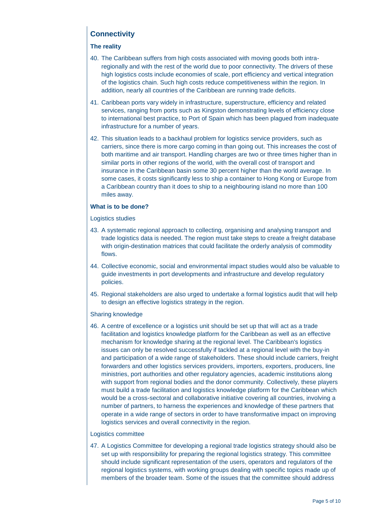# **Connectivity**

# **The reality**

- 40. The Caribbean suffers from high costs associated with moving goods both intraregionally and with the rest of the world due to poor connectivity. The drivers of these high logistics costs include economies of scale, port efficiency and vertical integration of the logistics chain. Such high costs reduce competitiveness within the region. In addition, nearly all countries of the Caribbean are running trade deficits.
- 41. Caribbean ports vary widely in infrastructure, superstructure, efficiency and related services, ranging from ports such as Kingston demonstrating levels of efficiency close to international best practice, to Port of Spain which has been plagued from inadequate infrastructure for a number of years.
- 42. This situation leads to a backhaul problem for logistics service providers, such as carriers, since there is more cargo coming in than going out. This increases the cost of both maritime and air transport. Handling charges are two or three times higher than in similar ports in other regions of the world, with the overall cost of transport and insurance in the Caribbean basin some 30 percent higher than the world average. In some cases, it costs significantly less to ship a container to Hong Kong or Europe from a Caribbean country than it does to ship to a neighbouring island no more than 100 miles away.

# **What is to be done?**

Logistics studies

- 43. A systematic regional approach to collecting, organising and analysing transport and trade logistics data is needed. The region must take steps to create a freight database with origin-destination matrices that could facilitate the orderly analysis of commodity flows.
- 44. Collective economic, social and environmental impact studies would also be valuable to guide investments in port developments and infrastructure and develop regulatory policies.
- 45. Regional stakeholders are also urged to undertake a formal logistics audit that will help to design an effective logistics strategy in the region.

# Sharing knowledge

46. A centre of excellence or a logistics unit should be set up that will act as a trade facilitation and logistics knowledge platform for the Caribbean as well as an effective mechanism for knowledge sharing at the regional level. The Caribbean's logistics issues can only be resolved successfully if tackled at a regional level with the buy-in and participation of a wide range of stakeholders. These should include carriers, freight forwarders and other logistics services providers, importers, exporters, producers, line ministries, port authorities and other regulatory agencies, academic institutions along with support from regional bodies and the donor community. Collectively, these players must build a trade facilitation and logistics knowledge platform for the Caribbean which would be a cross-sectoral and collaborative initiative covering all countries, involving a number of partners, to harness the experiences and knowledge of these partners that operate in a wide range of sectors in order to have transformative impact on improving logistics services and overall connectivity in the region.

# Logistics committee

47. A Logistics Committee for developing a regional trade logistics strategy should also be set up with responsibility for preparing the regional logistics strategy. This committee should include significant representation of the users, operators and regulators of the regional logistics systems, with working groups dealing with specific topics made up of members of the broader team. Some of the issues that the committee should address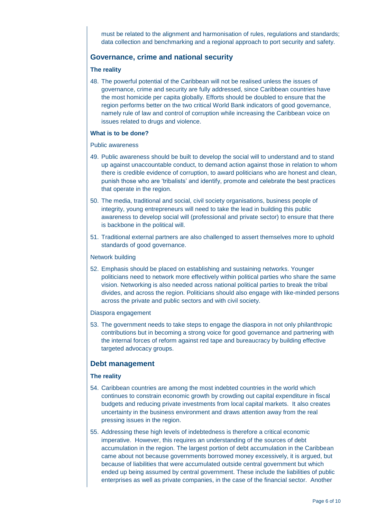must be related to the alignment and harmonisation of rules, regulations and standards; data collection and benchmarking and a regional approach to port security and safety.

# **Governance, crime and national security**

### **The reality**

48. The powerful potential of the Caribbean will not be realised unless the issues of governance, crime and security are fully addressed, since Caribbean countries have the most homicide per capita globally. Efforts should be doubled to ensure that the region performs better on the two critical World Bank indicators of good governance, namely rule of law and control of corruption while increasing the Caribbean voice on issues related to drugs and violence.

#### **What is to be done?**

#### Public awareness

- 49. Public awareness should be built to develop the social will to understand and to stand up against unaccountable conduct, to demand action against those in relation to whom there is credible evidence of corruption, to award politicians who are honest and clean, punish those who are 'tribalists' and identify, promote and celebrate the best practices that operate in the region.
- 50. The media, traditional and social, civil society organisations, business people of integrity, young entrepreneurs will need to take the lead in building this public awareness to develop social will (professional and private sector) to ensure that there is backbone in the political will.
- 51. Traditional external partners are also challenged to assert themselves more to uphold standards of good governance.

#### Network building

52. Emphasis should be placed on establishing and sustaining networks. Younger politicians need to network more effectively within political parties who share the same vision. Networking is also needed across national political parties to break the tribal divides, and across the region. Politicians should also engage with like-minded persons across the private and public sectors and with civil society.

#### Diaspora engagement

53. The government needs to take steps to engage the diaspora in not only philanthropic contributions but in becoming a strong voice for good governance and partnering with the internal forces of reform against red tape and bureaucracy by building effective targeted advocacy groups.

# **Debt management**

# **The reality**

- 54. Caribbean countries are among the most indebted countries in the world which continues to constrain economic growth by crowding out capital expenditure in fiscal budgets and reducing private investments from local capital markets. It also creates uncertainty in the business environment and draws attention away from the real pressing issues in the region.
- 55. Addressing these high levels of indebtedness is therefore a critical economic imperative. However, this requires an understanding of the sources of debt accumulation in the region. The largest portion of debt accumulation in the Caribbean came about not because governments borrowed money excessively, it is argued, but because of liabilities that were accumulated outside central government but which ended up being assumed by central government. These include the liabilities of public enterprises as well as private companies, in the case of the financial sector. Another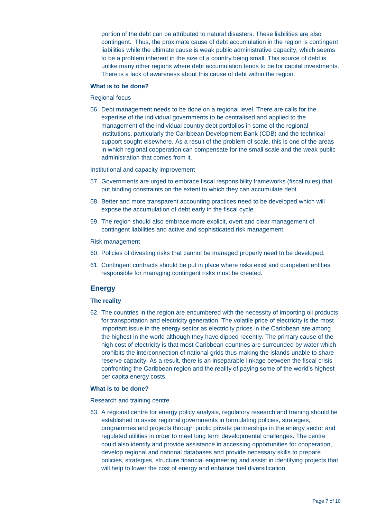portion of the debt can be attributed to natural disasters. These liabilities are also contingent. Thus, the proximate cause of debt accumulation in the region is contingent liabilities while the ultimate cause is weak public administrative capacity, which seems to be a problem inherent in the size of a country being small. This source of debt is unlike many other regions where debt accumulation tends to be for capital investments. There is a lack of awareness about this cause of debt within the region.

# **What is to be done?**

Regional focus

56. Debt management needs to be done on a regional level. There are calls for the expertise of the individual governments to be centralised and applied to the management of the individual country debt portfolios in some of the regional institutions, particularly the Caribbean Development Bank (CDB) and the technical support sought elsewhere. As a result of the problem of scale, this is one of the areas in which regional cooperation can compensate for the small scale and the weak public administration that comes from it.

Institutional and capacity improvement

- 57. Governments are urged to embrace fiscal responsibility frameworks (fiscal rules) that put binding constraints on the extent to which they can accumulate debt.
- 58. Better and more transparent accounting practices need to be developed which will expose the accumulation of debt early in the fiscal cycle.
- 59. The region should also embrace more explicit, overt and clear management of contingent liabilities and active and sophisticated risk management.

#### Risk management

- 60. Policies of divesting risks that cannot be managed properly need to be developed.
- 61. Contingent contracts should be put in place where risks exist and competent entities responsible for managing contingent risks must be created.

# **Energy**

# **The reality**

62. The countries in the region are encumbered with the necessity of importing oil products for transportation and electricity generation. The volatile price of electricity is the most important issue in the energy sector as electricity prices in the Caribbean are among the highest in the world although they have dipped recently. The primary cause of the high cost of electricity is that most Caribbean countries are surrounded by water which prohibits the interconnection of national grids thus making the islands unable to share reserve capacity. As a result, there is an inseparable linkage between the fiscal crisis confronting the Caribbean region and the reality of paying some of the world's highest per capita energy costs.

# **What is to be done?**

#### Research and training centre

63. A regional centre for energy policy analysis, regulatory research and training should be established to assist regional governments in formulating policies, strategies, programmes and projects through public private partnerships in the energy sector and regulated utilities in order to meet long term developmental challenges. The centre could also identify and provide assistance in accessing opportunities for cooperation, develop regional and national databases and provide necessary skills to prepare policies, strategies, structure financial engineering and assist in identifying projects that will help to lower the cost of energy and enhance fuel diversification.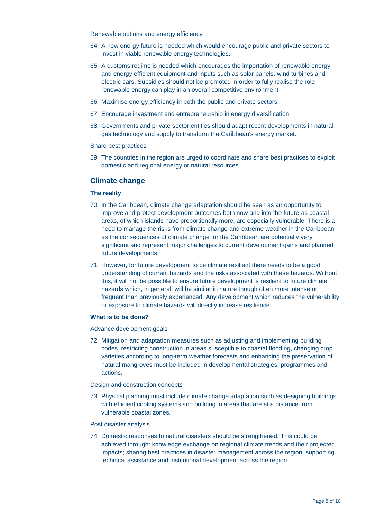Renewable options and energy efficiency

- 64. A new energy future is needed which would encourage public and private sectors to invest in viable renewable energy technologies.
- 65. A customs regime is needed which encourages the importation of renewable energy and energy efficient equipment and inputs such as solar panels, wind turbines and electric cars. Subsidies should not be promoted in order to fully realise the role renewable energy can play in an overall competitive environment.
- 66. Maximise energy efficiency in both the public and private sectors.
- 67. Encourage investment and entrepreneurship in energy diversification.
- 68. Governments and private sector entities should adapt recent developments in natural gas technology and supply to transform the Caribbean's energy market.

#### Share best practices

69. The countries in the region are urged to coordinate and share best practices to exploit domestic and regional energy or natural resources.

# **Climate change**

# **The reality**

- 70. In the Caribbean, climate change adaptation should be seen as an opportunity to improve and protect development outcomes both now and into the future as coastal areas, of which islands have proportionally more, are especially vulnerable. There is a need to manage the risks from climate change and extreme weather in the Caribbean as the consequences of climate change for the Caribbean are potentially very significant and represent major challenges to current development gains and planned future developments.
- 71. However, for future development to be climate resilient there needs to be a good understanding of current hazards and the risks associated with these hazards. Without this, it will not be possible to ensure future development is resilient to future climate hazards which, in general, will be similar in nature though often more intense or frequent than previously experienced. Any development which reduces the vulnerability or exposure to climate hazards will directly increase resilience.

# **What is to be done?**

Advance development goals

72. Mitigation and adaptation measures such as adjusting and implementing building codes, restricting construction in areas susceptible to coastal flooding, changing crop varieties according to long-term weather forecasts and enhancing the preservation of natural mangroves must be included in developmental strategies, programmes and actions.

# Design and construction concepts

73. Physical planning must include climate change adaptation such as designing buildings with efficient cooling systems and building in areas that are at a distance from vulnerable coastal zones.

#### Post disaster analysis

74. Domestic responses to natural disasters should be strengthened. This could be achieved through: knowledge exchange on regional climate trends and their projected impacts; sharing best practices in disaster management across the region, supporting technical assistance and institutional development across the region.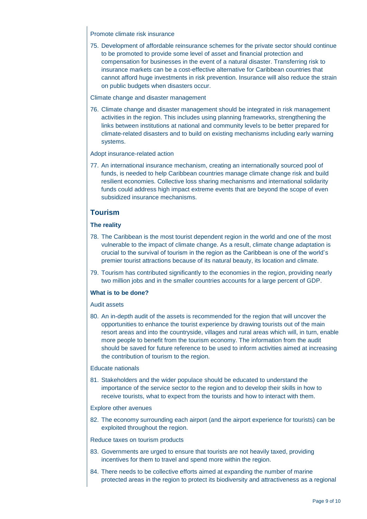### Promote climate risk insurance

75. Development of affordable reinsurance schemes for the private sector should continue to be promoted to provide some level of asset and financial protection and compensation for businesses in the event of a natural disaster. Transferring risk to insurance markets can be a cost-effective alternative for Caribbean countries that cannot afford huge investments in risk prevention. Insurance will also reduce the strain on public budgets when disasters occur.

### Climate change and disaster management

76. Climate change and disaster management should be integrated in risk management activities in the region. This includes using planning frameworks, strengthening the links between institutions at national and community levels to be better prepared for climate-related disasters and to build on existing mechanisms including early warning systems.

#### Adopt insurance-related action

77. An international insurance mechanism, creating an internationally sourced pool of funds, is needed to help Caribbean countries manage climate change risk and build resilient economies. Collective loss sharing mechanisms and international solidarity funds could address high impact extreme events that are beyond the scope of even subsidized insurance mechanisms.

# **Tourism**

# **The reality**

- 78. The Caribbean is the most tourist dependent region in the world and one of the most vulnerable to the impact of climate change. As a result, climate change adaptation is crucial to the survival of tourism in the region as the Caribbean is one of the world's premier tourist attractions because of its natural beauty, its location and climate.
- 79. Tourism has contributed significantly to the economies in the region, providing nearly two million jobs and in the smaller countries accounts for a large percent of GDP.

# **What is to be done?**

# Audit assets

80. An in-depth audit of the assets is recommended for the region that will uncover the opportunities to enhance the tourist experience by drawing tourists out of the main resort areas and into the countryside, villages and rural areas which will, in turn, enable more people to benefit from the tourism economy. The information from the audit should be saved for future reference to be used to inform activities aimed at increasing the contribution of tourism to the region.

#### Educate nationals

81. Stakeholders and the wider populace should be educated to understand the importance of the service sector to the region and to develop their skills in how to receive tourists, what to expect from the tourists and how to interact with them.

# Explore other avenues

82. The economy surrounding each airport (and the airport experience for tourists) can be exploited throughout the region.

#### Reduce taxes on tourism products

- 83. Governments are urged to ensure that tourists are not heavily taxed, providing incentives for them to travel and spend more within the region.
- 84. There needs to be collective efforts aimed at expanding the number of marine protected areas in the region to protect its biodiversity and attractiveness as a regional